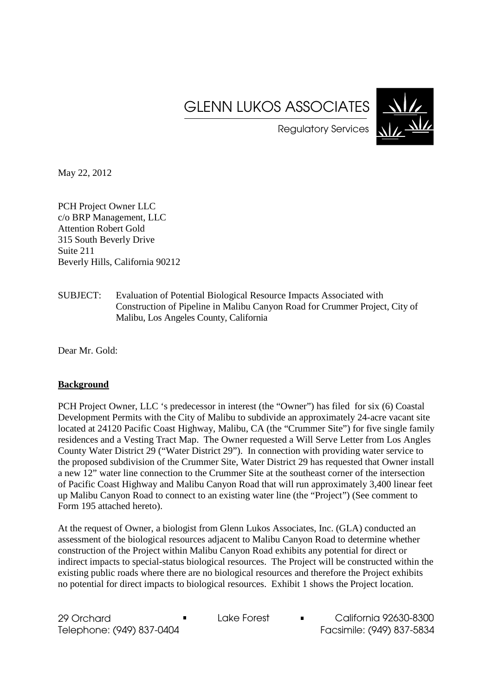# GLENN LUKOS ASSOCIATES



Regulatory Services

May 22, 2012

PCH Project Owner LLC c/o BRP Management, LLC Attention Robert Gold 315 South Beverly Drive Suite 211 Beverly Hills, California 90212

SUBJECT: Evaluation of Potential Biological Resource Impacts Associated with Construction of Pipeline in Malibu Canyon Road for Crummer Project, City of Malibu, Los Angeles County, California

Dear Mr. Gold:

# **Background**

PCH Project Owner, LLC 's predecessor in interest (the "Owner") has filed for six (6) Coastal Development Permits with the City of Malibu to subdivide an approximately 24-acre vacant site located at 24120 Pacific Coast Highway, Malibu, CA (the "Crummer Site") for five single family residences and a Vesting Tract Map. The Owner requested a Will Serve Letter from Los Angles County Water District 29 ("Water District 29"). In connection with providing water service to the proposed subdivision of the Crummer Site, Water District 29 has requested that Owner install a new 12" water line connection to the Crummer Site at the southeast corner of the intersection of Pacific Coast Highway and Malibu Canyon Road that will run approximately 3,400 linear feet up Malibu Canyon Road to connect to an existing water line (the "Project") (See comment to Form 195 attached hereto).

At the request of Owner, a biologist from Glenn Lukos Associates, Inc. (GLA) conducted an assessment of the biological resources adjacent to Malibu Canyon Road to determine whether construction of the Project within Malibu Canyon Road exhibits any potential for direct or indirect impacts to special-status biological resources. The Project will be constructed within the existing public roads where there are no biological resources and therefore the Project exhibits no potential for direct impacts to biological resources. Exhibit 1 shows the Project location.

29 Orchard **Lake Forest California 92630-8300** Telephone: (949) 837-0404 Facsimile: (949) 837-5834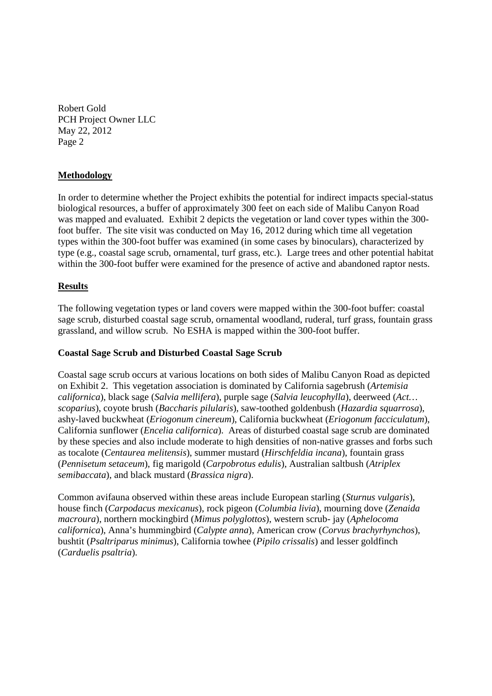# **Methodology**

In order to determine whether the Project exhibits the potential for indirect impacts special-status biological resources, a buffer of approximately 300 feet on each side of Malibu Canyon Road was mapped and evaluated. Exhibit 2 depicts the vegetation or land cover types within the 300 foot buffer. The site visit was conducted on May 16, 2012 during which time all vegetation types within the 300-foot buffer was examined (in some cases by binoculars), characterized by type (e.g., coastal sage scrub, ornamental, turf grass, etc.). Large trees and other potential habitat within the 300-foot buffer were examined for the presence of active and abandoned raptor nests.

# **Results**

The following vegetation types or land covers were mapped within the 300-foot buffer: coastal sage scrub, disturbed coastal sage scrub, ornamental woodland, ruderal, turf grass, fountain grass grassland, and willow scrub. No ESHA is mapped within the 300-foot buffer.

# **Coastal Sage Scrub and Disturbed Coastal Sage Scrub**

Coastal sage scrub occurs at various locations on both sides of Malibu Canyon Road as depicted on Exhibit 2. This vegetation association is dominated by California sagebrush (*Artemisia californica*), black sage (*Salvia mellifera*), purple sage (*Salvia leucophylla*), deerweed (*Act… scoparius*), coyote brush (*Baccharis pilularis*), saw-toothed goldenbush (*Hazardia squarrosa*), ashy-laved buckwheat (*Eriogonum cinereum*), California buckwheat (*Eriogonum facciculatum*), California sunflower (*Encelia californica*). Areas of disturbed coastal sage scrub are dominated by these species and also include moderate to high densities of non-native grasses and forbs such as tocalote (*Centaurea melitensis*), summer mustard (*Hirschfeldia incana*), fountain grass (*Pennisetum setaceum*), fig marigold (*Carpobrotus edulis*), Australian saltbush (*Atriplex semibaccata*), and black mustard (*Brassica nigra*).

Common avifauna observed within these areas include European starling (*Sturnus vulgaris*), house finch (*Carpodacus mexicanus*), rock pigeon (*Columbia livia*), mourning dove (*Zenaida macroura*), northern mockingbird (*Mimus polyglottos*), western scrub- jay (*Aphelocoma californica*), Anna's hummingbird (*Calypte anna*), American crow (*Corvus brachyrhynchos*), bushtit (*Psaltriparus minimus*), California towhee (*Pipilo crissalis*) and lesser goldfinch (*Carduelis psaltria*).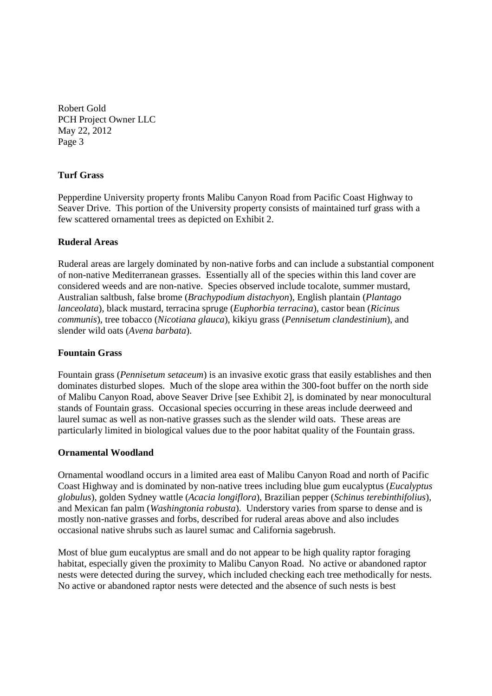# **Turf Grass**

Pepperdine University property fronts Malibu Canyon Road from Pacific Coast Highway to Seaver Drive. This portion of the University property consists of maintained turf grass with a few scattered ornamental trees as depicted on Exhibit 2.

# **Ruderal Areas**

Ruderal areas are largely dominated by non-native forbs and can include a substantial component of non-native Mediterranean grasses. Essentially all of the species within this land cover are considered weeds and are non-native. Species observed include tocalote, summer mustard, Australian saltbush, false brome (*Brachypodium distachyon*), English plantain (*Plantago lanceolata*), black mustard, terracina spruge (*Euphorbia terracina*), castor bean (*Ricinus communis*), tree tobacco (*Nicotiana glauca*), kikiyu grass (*Pennisetum clandestinium*), and slender wild oats (*Avena barbata*).

# **Fountain Grass**

Fountain grass (*Pennisetum setaceum*) is an invasive exotic grass that easily establishes and then dominates disturbed slopes. Much of the slope area within the 300-foot buffer on the north side of Malibu Canyon Road, above Seaver Drive [see Exhibit 2], is dominated by near monocultural stands of Fountain grass. Occasional species occurring in these areas include deerweed and laurel sumac as well as non-native grasses such as the slender wild oats. These areas are particularly limited in biological values due to the poor habitat quality of the Fountain grass.

### **Ornamental Woodland**

Ornamental woodland occurs in a limited area east of Malibu Canyon Road and north of Pacific Coast Highway and is dominated by non-native trees including blue gum eucalyptus (*Eucalyptus globulus*), golden Sydney wattle (*Acacia longiflora*), Brazilian pepper (*Schinus terebinthifolius*), and Mexican fan palm (*Washingtonia robusta*). Understory varies from sparse to dense and is mostly non-native grasses and forbs, described for ruderal areas above and also includes occasional native shrubs such as laurel sumac and California sagebrush.

Most of blue gum eucalyptus are small and do not appear to be high quality raptor foraging habitat, especially given the proximity to Malibu Canyon Road. No active or abandoned raptor nests were detected during the survey, which included checking each tree methodically for nests. No active or abandoned raptor nests were detected and the absence of such nests is best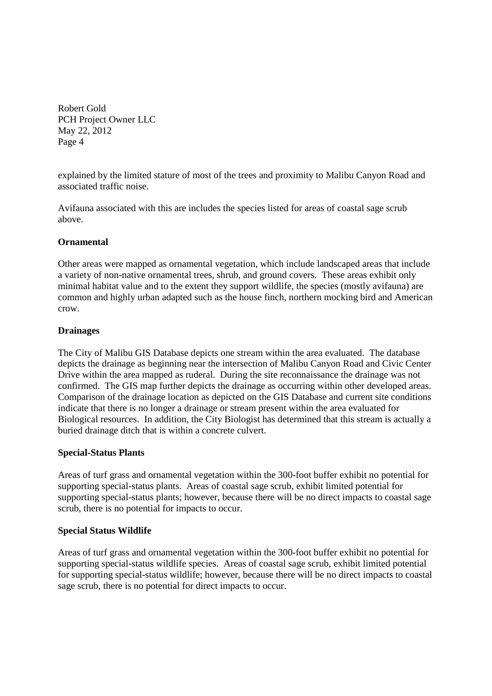explained by the limited stature of most of the trees and proximity to Malibu Canyon Road and associated traffic noise.

Avifauna associated with this are includes the species listed for areas of coastal sage scrub above.

# **Ornamental**

Other areas were mapped as ornamental vegetation, which include landscaped areas that include a variety of non-native ornamental trees, shrub, and ground covers. These areas exhibit only minimal habitat value and to the extent they support wildlife, the species (mostly avifauna) are common and highly urban adapted such as the house finch, northern mocking bird and American crow.

# **Drainages**

The City of Malibu GIS Database depicts one stream within the area evaluated. The database depicts the drainage as beginning near the intersection of Malibu Canyon Road and Civic Center Drive within the area mapped as ruderal. During the site reconnaissance the drainage was not confirmed. The GIS map further depicts the drainage as occurring within other developed areas. Comparison of the drainage location as depicted on the GIS Database and current site conditions indicate that there is no longer a drainage or stream present within the area evaluated for Biological resources. In addition, the City Biologist has determined that this stream is actually a buried drainage ditch that is within a concrete culvert.

# **Special-Status Plants**

Areas of turf grass and ornamental vegetation within the 300-foot buffer exhibit no potential for supporting special-status plants. Areas of coastal sage scrub, exhibit limited potential for supporting special-status plants; however, because there will be no direct impacts to coastal sage scrub, there is no potential for impacts to occur.

# **Special Status Wildlife**

Areas of turf grass and ornamental vegetation within the 300-foot buffer exhibit no potential for supporting special-status wildlife species. Areas of coastal sage scrub, exhibit limited potential for supporting special-status wildlife; however, because there will be no direct impacts to coastal sage scrub, there is no potential for direct impacts to occur.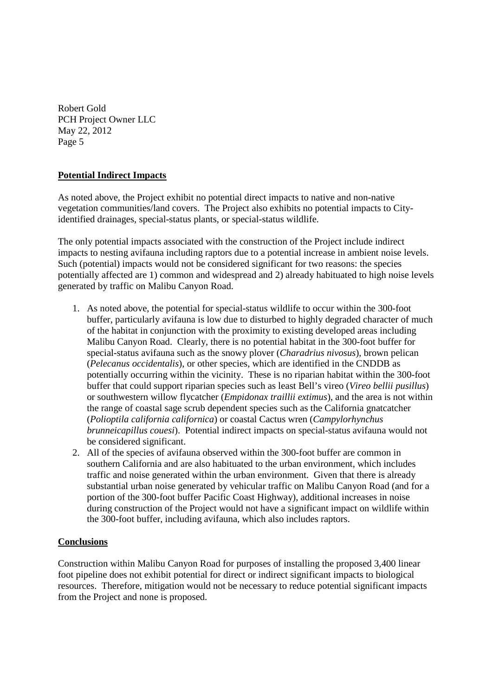# **Potential Indirect Impacts**

As noted above, the Project exhibit no potential direct impacts to native and non-native vegetation communities/land covers. The Project also exhibits no potential impacts to Cityidentified drainages, special-status plants, or special-status wildlife.

The only potential impacts associated with the construction of the Project include indirect impacts to nesting avifauna including raptors due to a potential increase in ambient noise levels. Such (potential) impacts would not be considered significant for two reasons: the species potentially affected are 1) common and widespread and 2) already habituated to high noise levels generated by traffic on Malibu Canyon Road.

- 1. As noted above, the potential for special-status wildlife to occur within the 300-foot buffer, particularly avifauna is low due to disturbed to highly degraded character of much of the habitat in conjunction with the proximity to existing developed areas including Malibu Canyon Road. Clearly, there is no potential habitat in the 300-foot buffer for special-status avifauna such as the snowy plover (*Charadrius nivosus*), brown pelican (*Pelecanus occidentalis*), or other species, which are identified in the CNDDB as potentially occurring within the vicinity. These is no riparian habitat within the 300-foot buffer that could support riparian species such as least Bell's vireo (*Vireo bellii pusillus*) or southwestern willow flycatcher (*Empidonax traillii extimus*), and the area is not within the range of coastal sage scrub dependent species such as the California gnatcatcher (*Polioptila california californica*) or coastal Cactus wren (*Campylorhynchus brunneicapillus couesi*). Potential indirect impacts on special-status avifauna would not be considered significant.
- 2. All of the species of avifauna observed within the 300-foot buffer are common in southern California and are also habituated to the urban environment, which includes traffic and noise generated within the urban environment. Given that there is already substantial urban noise generated by vehicular traffic on Malibu Canyon Road (and for a portion of the 300-foot buffer Pacific Coast Highway), additional increases in noise during construction of the Project would not have a significant impact on wildlife within the 300-foot buffer, including avifauna, which also includes raptors.

# **Conclusions**

Construction within Malibu Canyon Road for purposes of installing the proposed 3,400 linear foot pipeline does not exhibit potential for direct or indirect significant impacts to biological resources. Therefore, mitigation would not be necessary to reduce potential significant impacts from the Project and none is proposed.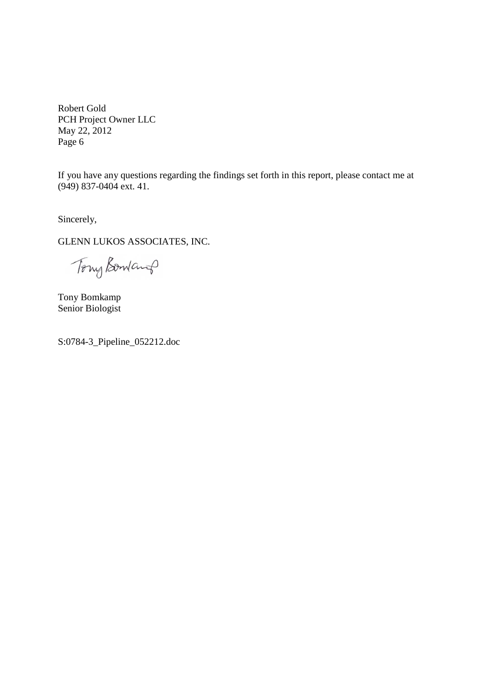If you have any questions regarding the findings set forth in this report, please contact me at (949) 837-0404 ext. 41.

Sincerely,

GLENN LUKOS ASSOCIATES, INC.

Tony Bomand

Tony Bomkamp Senior Biologist

S:0784-3\_Pipeline\_052212.doc